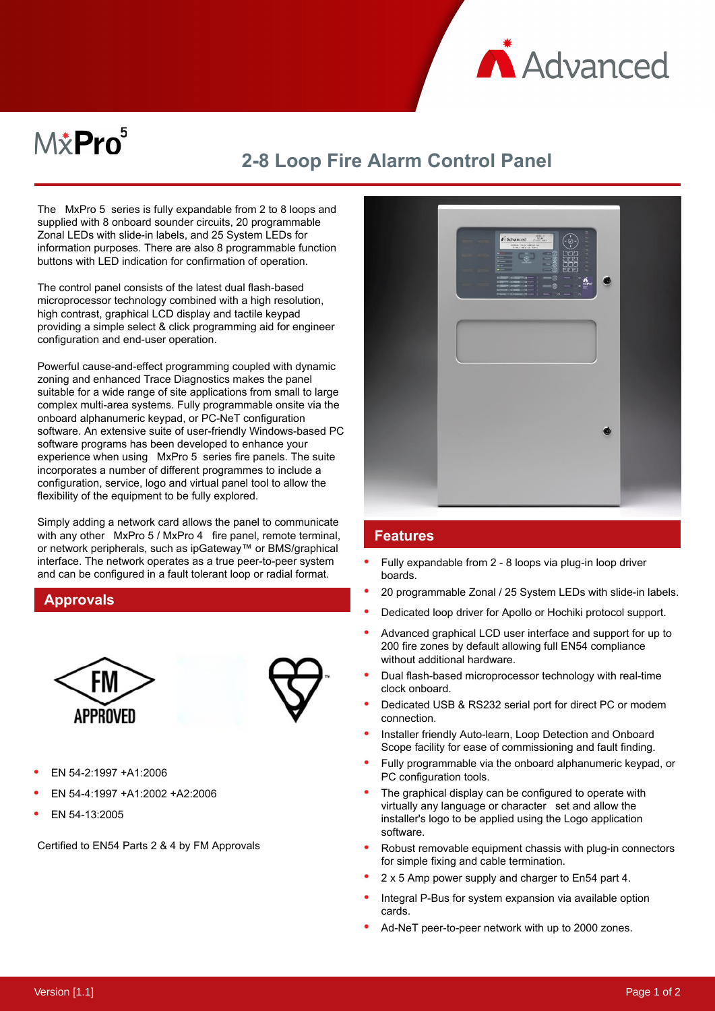

# $M\ddot{x}$ Pro $^5$

## **2-8 Loop Fire Alarm Control Panel**

The MxPro 5 series is fully expandable from 2 to 8 loops and supplied with 8 onboard sounder circuits, 20 programmable Zonal LEDs with slide-in labels, and 25 System LEDs for information purposes. There are also 8 programmable function buttons with LED indication for confirmation of operation.

The control panel consists of the latest dual flash-based microprocessor technology combined with a high resolution, high contrast, graphical LCD display and tactile keypad providing a simple select & click programming aid for engineer configuration and end-user operation.

Powerful cause-and-effect programming coupled with dynamic zoning and enhanced Trace Diagnostics makes the panel suitable for a wide range of site applications from small to large complex multi-area systems. Fully programmable onsite via the onboard alphanumeric keypad, or PC-NeT configuration software. An extensive suite of user-friendly Windows-based PC software programs has been developed to enhance your experience when using MxPro 5 series fire panels. The suite incorporates a number of different programmes to include a configuration, service, logo and virtual panel tool to allow the flexibility of the equipment to be fully explored.

Simply adding a network card allows the panel to communicate with any other MxPro 5 / MxPro 4 fire panel, remote terminal, or network peripherals, such as ipGateway™ or BMS/graphical interface. The network operates as a true peer-to-peer system and can be configured in a fault tolerant loop or radial format.

#### **Approvals**





- EN 54-2:1997 +A1:2006
- EN 54-4:1997 +A1:2002 +A2:2006
- EN 54-13:2005

Certified to EN54 Parts 2 & 4 by FM Approvals



#### **Features**

- Fully expandable from 2 8 loops via plug-in loop driver boards.
- 20 programmable Zonal / 25 System LEDs with slide-in labels.
- Dedicated loop driver for Apollo or Hochiki protocol support.
- Advanced graphical LCD user interface and support for up to 200 fire zones by default allowing full EN54 compliance without additional hardware.
- Dual flash-based microprocessor technology with real-time clock onboard.
- Dedicated USB & RS232 serial port for direct PC or modem connection.
- Installer friendly Auto-learn, Loop Detection and Onboard Scope facility for ease of commissioning and fault finding.
- Fully programmable via the onboard alphanumeric keypad, or PC configuration tools.
- The graphical display can be configured to operate with virtually any language or character set and allow the installer's logo to be applied using the Logo application software.
- Robust removable equipment chassis with plug-in connectors for simple fixing and cable termination.
- 2 x 5 Amp power supply and charger to En54 part 4.
- Integral P-Bus for system expansion via available option cards.
- Ad-NeT peer-to-peer network with up to 2000 zones.